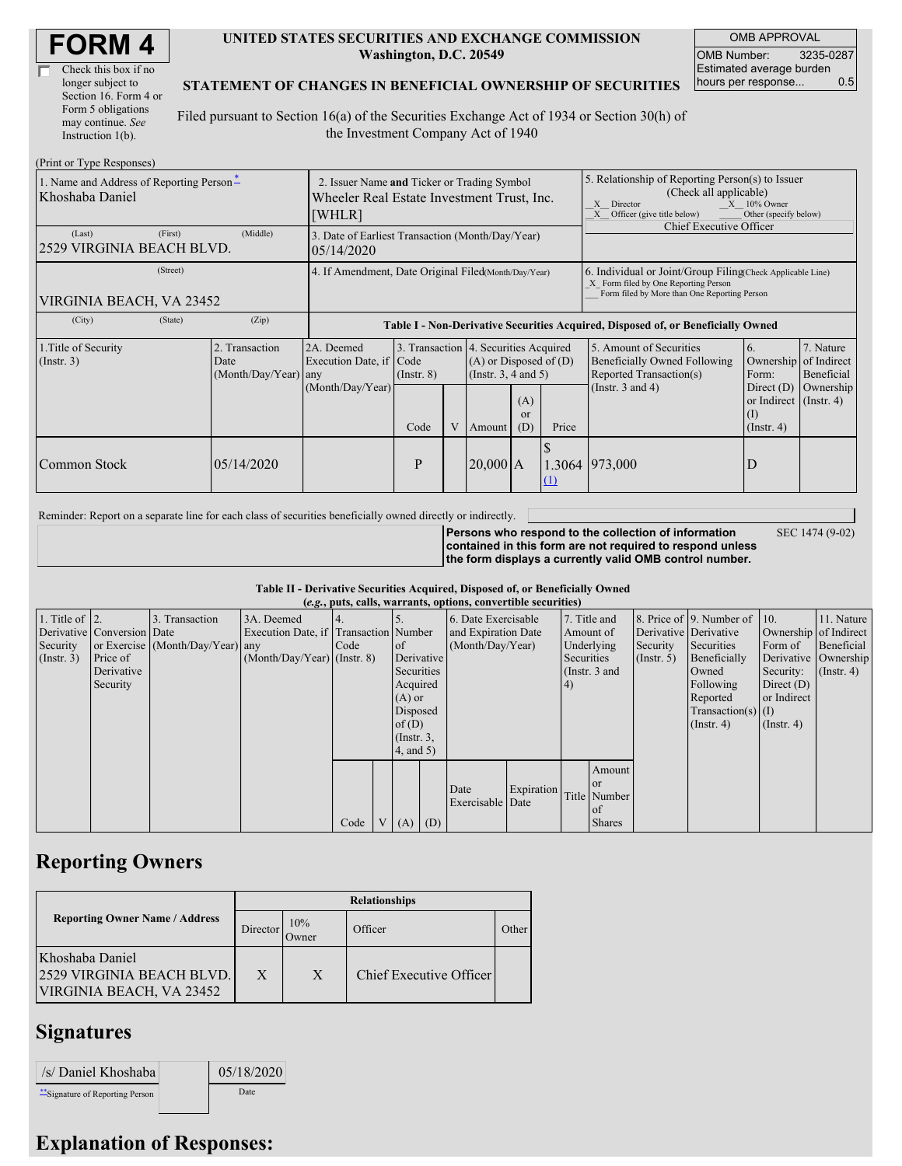| <b>FORM4</b> |
|--------------|
|--------------|

| Check this box if no  |
|-----------------------|
| longer subject to     |
| Section 16. Form 4 or |
| Form 5 obligations    |
| may continue. See     |
| Instruction $1(b)$ .  |

 $(Drint or Trma D)$ 

#### **UNITED STATES SECURITIES AND EXCHANGE COMMISSION Washington, D.C. 20549**

OMB APPROVAL OMB Number: 3235-0287 Estimated average burden hours per response... 0.5

### **STATEMENT OF CHANGES IN BENEFICIAL OWNERSHIP OF SECURITIES**

Filed pursuant to Section 16(a) of the Securities Exchange Act of 1934 or Section 30(h) of the Investment Company Act of 1940

| 1. Name and Address of Reporting Person-<br>Khoshaba Daniel | 2. Issuer Name and Ticker or Trading Symbol<br>Wheeler Real Estate Investment Trust, Inc.<br>[WHLR] |                                                                                  |                         |  |              |                                                                                                                                 | 5. Relationship of Reporting Person(s) to Issuer<br>(Check all applicable)<br>$X = 10\%$ Owner<br>X Director<br>X Officer (give title below)<br>Other (specify below)<br>Chief Executive Officer |                                                                                                             |                                                                                                                     |                                      |  |  |
|-------------------------------------------------------------|-----------------------------------------------------------------------------------------------------|----------------------------------------------------------------------------------|-------------------------|--|--------------|---------------------------------------------------------------------------------------------------------------------------------|--------------------------------------------------------------------------------------------------------------------------------------------------------------------------------------------------|-------------------------------------------------------------------------------------------------------------|---------------------------------------------------------------------------------------------------------------------|--------------------------------------|--|--|
| (First)<br>(Last)<br>2529 VIRGINIA BEACH BLVD.              | 3. Date of Earliest Transaction (Month/Day/Year)<br>05/14/2020                                      |                                                                                  |                         |  |              |                                                                                                                                 |                                                                                                                                                                                                  |                                                                                                             |                                                                                                                     |                                      |  |  |
| (Street)<br>VIRGINIA BEACH, VA 23452                        | 4. If Amendment, Date Original Filed (Month/Day/Year)                                               |                                                                                  |                         |  |              |                                                                                                                                 | 6. Individual or Joint/Group Filing Check Applicable Line)<br>X Form filed by One Reporting Person<br>Form filed by More than One Reporting Person                                               |                                                                                                             |                                                                                                                     |                                      |  |  |
| (City)<br>(State)                                           | (Zip)                                                                                               | Table I - Non-Derivative Securities Acquired, Disposed of, or Beneficially Owned |                         |  |              |                                                                                                                                 |                                                                                                                                                                                                  |                                                                                                             |                                                                                                                     |                                      |  |  |
| 1. Title of Security<br>$($ Instr. 3 $)$                    | 2. Transaction<br>Date<br>$(Month/Day/Year)$ any                                                    | 2A. Deemed<br>Execution Date, if Code<br>(Month/Day/Year)                        | $($ Instr. $8)$<br>Code |  | V Amount     | 3. Transaction 4. Securities Acquired<br>$(A)$ or Disposed of $(D)$<br>(Insert. 3, 4 and 5)<br>(A)<br><b>or</b><br>(D)<br>Price |                                                                                                                                                                                                  | 5. Amount of Securities<br>Beneficially Owned Following<br>Reported Transaction(s)<br>(Instr. $3$ and $4$ ) | <sup>6.</sup><br>Ownership of Indirect<br>Form:<br>Direct $(D)$<br>or Indirect $($ Instr. 4 $)$<br>$($ Instr. 4 $)$ | 7. Nature<br>Beneficial<br>Ownership |  |  |
| Common Stock                                                | 05/14/2020                                                                                          |                                                                                  | P                       |  | $ 20,000 $ A |                                                                                                                                 | (1)                                                                                                                                                                                              | 1.3064 973,000                                                                                              | D                                                                                                                   |                                      |  |  |

Reminder: Report on a separate line for each class of securities beneficially owned directly or indirectly.

**Persons who respond to the collection of information contained in this form are not required to respond unless**

SEC 1474 (9-02)

**the form displays a currently valid OMB control number.**

### **Table II - Derivative Securities Acquired, Disposed of, or Beneficially Owned**

| (e.g., puts, calls, warrants, options, convertible securities) |                            |                                  |                                       |      |  |                 |            |                     |            |                 |               |                  |                              |                       |                      |
|----------------------------------------------------------------|----------------------------|----------------------------------|---------------------------------------|------|--|-----------------|------------|---------------------|------------|-----------------|---------------|------------------|------------------------------|-----------------------|----------------------|
| 1. Title of $\vert$ 2.                                         |                            | 3. Transaction                   | 3A. Deemed                            |      |  |                 |            | 6. Date Exercisable |            |                 | 7. Title and  |                  | 8. Price of 9. Number of 10. |                       | 11. Nature           |
|                                                                | Derivative Conversion Date |                                  | Execution Date, if Transaction Number |      |  |                 |            | and Expiration Date |            | Amount of       |               |                  | Derivative Derivative        | Ownership of Indirect |                      |
| Security                                                       |                            | or Exercise (Month/Day/Year) any |                                       | Code |  | $\circ$ f       |            | (Month/Day/Year)    |            | Underlying      |               | Security         | Securities                   | Form of               | Beneficial           |
| $($ Instr. 3 $)$                                               | Price of                   |                                  | $(Month/Day/Year)$ (Instr. 8)         |      |  |                 | Derivative |                     |            | Securities      |               | $($ Instr. 5 $)$ | Beneficially                 |                       | Derivative Ownership |
|                                                                | Derivative                 |                                  |                                       |      |  | Securities      |            |                     |            | (Instr. $3$ and |               |                  | Owned                        | Security:             | $($ Instr. 4 $)$     |
|                                                                | Security                   |                                  |                                       |      |  | Acquired        |            |                     |            | (4)             |               |                  | Following                    | Direct $(D)$          |                      |
|                                                                |                            |                                  |                                       |      |  | $(A)$ or        |            |                     |            |                 |               |                  | Reported                     | or Indirect           |                      |
|                                                                |                            |                                  |                                       |      |  | Disposed        |            |                     |            |                 |               |                  | $Transaction(s)$ (I)         |                       |                      |
|                                                                |                            |                                  |                                       |      |  | of(D)           |            |                     |            |                 |               |                  | $($ Instr. 4 $)$             | $($ Instr. 4 $)$      |                      |
|                                                                |                            |                                  |                                       |      |  | $($ Instr. $3,$ |            |                     |            |                 |               |                  |                              |                       |                      |
|                                                                |                            |                                  |                                       |      |  | 4, and 5)       |            |                     |            |                 |               |                  |                              |                       |                      |
|                                                                |                            |                                  |                                       |      |  |                 |            |                     |            |                 | Amount        |                  |                              |                       |                      |
|                                                                |                            |                                  |                                       |      |  |                 |            | Date                | Expiration |                 | <b>or</b>     |                  |                              |                       |                      |
|                                                                |                            |                                  |                                       |      |  |                 |            | Exercisable Date    |            |                 | Title Number  |                  |                              |                       |                      |
|                                                                |                            |                                  |                                       |      |  |                 |            |                     |            |                 | of            |                  |                              |                       |                      |
|                                                                |                            |                                  |                                       | Code |  | $(A)$ $(D)$     |            |                     |            |                 | <b>Shares</b> |                  |                              |                       |                      |

## **Reporting Owners**

|                                                                          | <b>Relationships</b>  |              |                         |       |  |  |  |  |
|--------------------------------------------------------------------------|-----------------------|--------------|-------------------------|-------|--|--|--|--|
| <b>Reporting Owner Name / Address</b>                                    | Director <sup>'</sup> | 10%<br>Owner | Officer                 | Other |  |  |  |  |
| Khoshaba Daniel<br>2529 VIRGINIA BEACH BLVD.<br>VIRGINIA BEACH, VA 23452 | X                     | X            | Chief Executive Officer |       |  |  |  |  |

## **Signatures**

| /s/ Daniel Khoshaba              | 05/18/2020 |
|----------------------------------|------------|
| ** Signature of Reporting Person | Date       |

# **Explanation of Responses:**